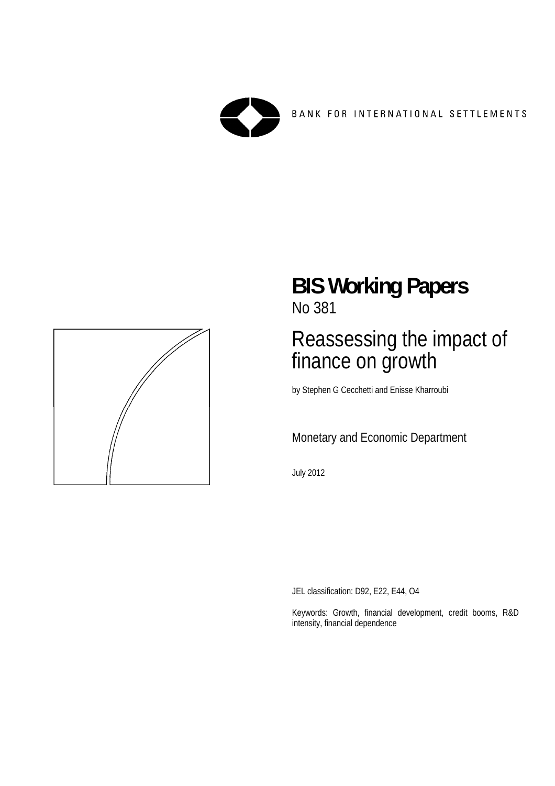

BANK FOR INTERNATIONAL SETTLEMENTS



## **BIS Working Papers**  No 381

# Reassessing the impact of finance on growth

by Stephen G Cecchetti and Enisse Kharroubi

## Monetary and Economic Department

July 2012

JEL classification: D92, E22, E44, O4

Keywords: Growth, financial development, credit booms, R&D intensity, financial dependence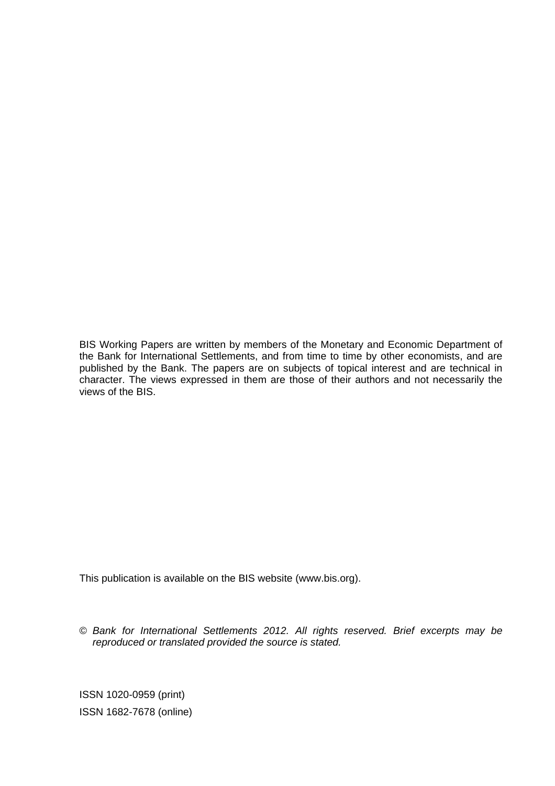BIS Working Papers are written by members of the Monetary and Economic Department of the Bank for International Settlements, and from time to time by other economists, and are published by the Bank. The papers are on subjects of topical interest and are technical in character. The views expressed in them are those of their authors and not necessarily the views of the BIS.

This publication is available on the BIS website (www.bis.org).

© *Bank for International Settlements 2012. All rights reserved. Brief excerpts may be reproduced or translated provided the source is stated.*

ISSN 1020-0959 (print) ISSN 1682-7678 (online)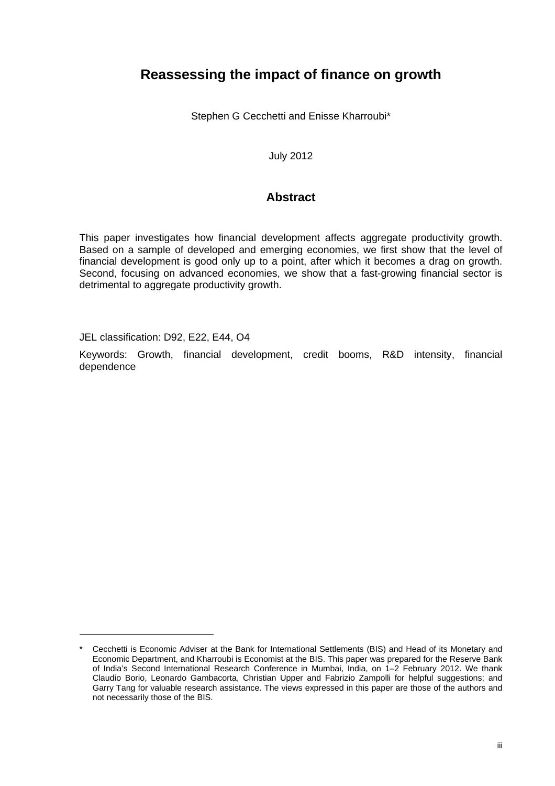## **Reassessing the impact of finance on growth**

Stephen G Cecchetti and Enisse Kharroubi\*

July 2012

#### **Abstract**

This paper investigates how financial development affects aggregate productivity growth. Based on a sample of developed and emerging economies, we first show that the level of financial development is good only up to a point, after which it becomes a drag on growth. Second, focusing on advanced economies, we show that a fast-growing financial sector is detrimental to aggregate productivity growth.

JEL classification: D92, E22, E44, O4

Keywords: Growth, financial development, credit booms, R&D intensity, financial dependence

Cecchetti is Economic Adviser at the Bank for International Settlements (BIS) and Head of its Monetary and Economic Department, and Kharroubi is Economist at the BIS. This paper was prepared for the Reserve Bank of India's Second International Research Conference in Mumbai, India, on 1–2 February 2012. We thank Claudio Borio, Leonardo Gambacorta, Christian Upper and Fabrizio Zampolli for helpful suggestions; and Garry Tang for valuable research assistance. The views expressed in this paper are those of the authors and not necessarily those of the BIS.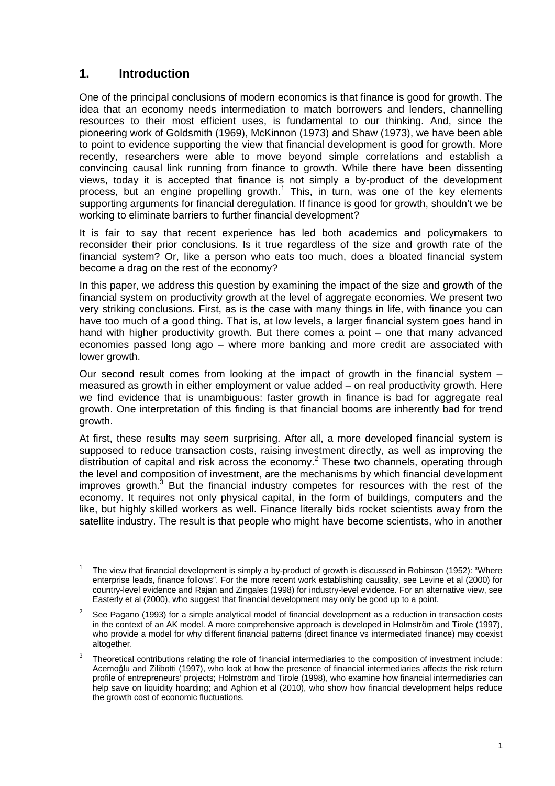## **1. Introduction**

One of the principal conclusions of modern economics is that finance is good for growth. The idea that an economy needs intermediation to match borrowers and lenders, channelling resources to their most efficient uses, is fundamental to our thinking. And, since the pioneering work of Goldsmith (1969), McKinnon (1973) and Shaw (1973), we have been able to point to evidence supporting the view that financial development is good for growth. More recently, researchers were able to move beyond simple correlations and establish a convincing causal link running from finance to growth. While there have been dissenting views, today it is accepted that finance is not simply a by-product of the development process, but an engine propelling growth.<sup>1</sup> This, in turn, was one of the key elements supporting arguments for financial deregulation. If finance is good for growth, shouldn't we be working to eliminate barriers to further financial development?

It is fair to say that recent experience has led both academics and policymakers to reconsider their prior conclusions. Is it true regardless of the size and growth rate of the financial system? Or, like a person who eats too much, does a bloated financial system become a drag on the rest of the economy?

In this paper, we address this question by examining the impact of the size and growth of the financial system on productivity growth at the level of aggregate economies. We present two very striking conclusions. First, as is the case with many things in life, with finance you can have too much of a good thing. That is, at low levels, a larger financial system goes hand in hand with higher productivity growth. But there comes a point – one that many advanced economies passed long ago – where more banking and more credit are associated with lower growth.

Our second result comes from looking at the impact of growth in the financial system  $$ measured as growth in either employment or value added – on real productivity growth. Here we find evidence that is unambiguous: faster growth in finance is bad for aggregate real growth. One interpretation of this finding is that financial booms are inherently bad for trend growth.

At first, these results may seem surprising. After all, a more developed financial system is supposed to reduce transaction costs, raising investment directly, as well as improving the distribution of capital and risk across the economy.<sup>2</sup> These two channels, operating through the level and composition of investment, are the mechanisms by which financial development improves growth.<sup>3</sup> But the financial industry competes for resources with the rest of the economy. It requires not only physical capital, in the form of buildings, computers and the like, but highly skilled workers as well. Finance literally bids rocket scientists away from the satellite industry. The result is that people who might have become scientists, who in another

<sup>1</sup> The view that financial development is simply a by-product of growth is discussed in Robinson (1952): "Where enterprise leads, finance follows". For the more recent work establishing causality, see Levine et al (2000) for country-level evidence and Rajan and Zingales (1998) for industry-level evidence. For an alternative view, see Easterly et al (2000), who suggest that financial development may only be good up to a point.

 $\overline{2}$  See Pagano (1993) for a simple analytical model of financial development as a reduction in transaction costs in the context of an AK model. A more comprehensive approach is developed in Holmström and Tirole (1997), who provide a model for why different financial patterns (direct finance vs intermediated finance) may coexist altogether.

<sup>3</sup> Theoretical contributions relating the role of financial intermediaries to the composition of investment include: Acemoğlu and Zilibotti (1997), who look at how the presence of financial intermediaries affects the risk return profile of entrepreneurs' projects; Holmström and Tirole (1998), who examine how financial intermediaries can help save on liquidity hoarding; and Aghion et al (2010), who show how financial development helps reduce the growth cost of economic fluctuations.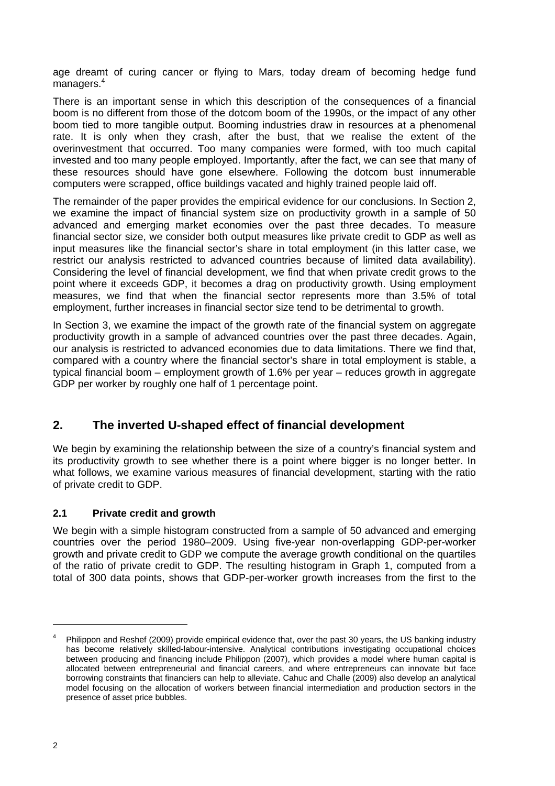age dreamt of curing cancer or flying to Mars, today dream of becoming hedge fund managers.<sup>4</sup>

There is an important sense in which this description of the consequences of a financial boom is no different from those of the dotcom boom of the 1990s, or the impact of any other boom tied to more tangible output. Booming industries draw in resources at a phenomenal rate. It is only when they crash, after the bust, that we realise the extent of the overinvestment that occurred. Too many companies were formed, with too much capital invested and too many people employed. Importantly, after the fact, we can see that many of these resources should have gone elsewhere. Following the dotcom bust innumerable computers were scrapped, office buildings vacated and highly trained people laid off.

The remainder of the paper provides the empirical evidence for our conclusions. In Section 2, we examine the impact of financial system size on productivity growth in a sample of 50 advanced and emerging market economies over the past three decades. To measure financial sector size, we consider both output measures like private credit to GDP as well as input measures like the financial sector's share in total employment (in this latter case, we restrict our analysis restricted to advanced countries because of limited data availability). Considering the level of financial development, we find that when private credit grows to the point where it exceeds GDP, it becomes a drag on productivity growth. Using employment measures, we find that when the financial sector represents more than 3.5% of total employment, further increases in financial sector size tend to be detrimental to growth.

In Section 3, we examine the impact of the growth rate of the financial system on aggregate productivity growth in a sample of advanced countries over the past three decades. Again, our analysis is restricted to advanced economies due to data limitations. There we find that, compared with a country where the financial sector's share in total employment is stable, a typical financial boom – employment growth of 1.6% per year – reduces growth in aggregate GDP per worker by roughly one half of 1 percentage point.

## **2. The inverted U-shaped effect of financial development**

We begin by examining the relationship between the size of a country's financial system and its productivity growth to see whether there is a point where bigger is no longer better. In what follows, we examine various measures of financial development, starting with the ratio of private credit to GDP.

#### **2.1 Private credit and growth**

We begin with a simple histogram constructed from a sample of 50 advanced and emerging countries over the period 1980–2009. Using five-year non-overlapping GDP-per-worker growth and private credit to GDP we compute the average growth conditional on the quartiles of the ratio of private credit to GDP. The resulting histogram in Graph 1, computed from a total of 300 data points, shows that GDP-per-worker growth increases from the first to the

<sup>4</sup> Philippon and Reshef (2009) provide empirical evidence that, over the past 30 years, the US banking industry has become relatively skilled-labour-intensive. Analytical contributions investigating occupational choices between producing and financing include Philippon (2007), which provides a model where human capital is allocated between entrepreneurial and financial careers, and where entrepreneurs can innovate but face borrowing constraints that financiers can help to alleviate. Cahuc and Challe (2009) also develop an analytical model focusing on the allocation of workers between financial intermediation and production sectors in the presence of asset price bubbles.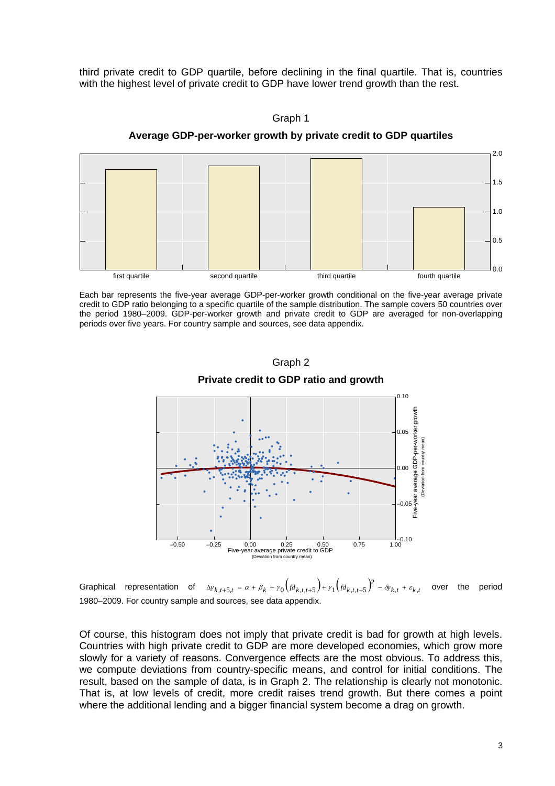third private credit to GDP quartile, before declining in the final quartile. That is, countries with the highest level of private credit to GDP have lower trend growth than the rest.



Graph 1 **Average GDP-per-worker growth by private credit to GDP quartiles** 

Each bar represents the five-year average GDP-per-worker growth conditional on the five-year average private credit to GDP ratio belonging to a specific quartile of the sample distribution. The sample covers 50 countries over the period 1980–2009. GDP-per-worker growth and private credit to GDP are averaged for non-overlapping periods over five years. For country sample and sources, see data appendix.



Graph 2 **Private credit to GDP ratio and growth**

Graphical representation of  $\Delta y_{k,t+5,t} = \alpha + \beta_k + \gamma_0 \left(\frac{fd_{k,t,t+5}}{P}\right) + \gamma_1 \left(\frac{fd_{k,t,t+5}}{P}\right)^2 - \delta y_{k,t} + \varepsilon_{k,t}$  over the period 1980–2009. For country sample and sources, see data appendix.

Of course, this histogram does not imply that private credit is bad for growth at high levels. Countries with high private credit to GDP are more developed economies, which grow more slowly for a variety of reasons. Convergence effects are the most obvious. To address this, we compute deviations from country-specific means, and control for initial conditions. The result, based on the sample of data, is in Graph 2. The relationship is clearly not monotonic. That is, at low levels of credit, more credit raises trend growth. But there comes a point where the additional lending and a bigger financial system become a drag on growth.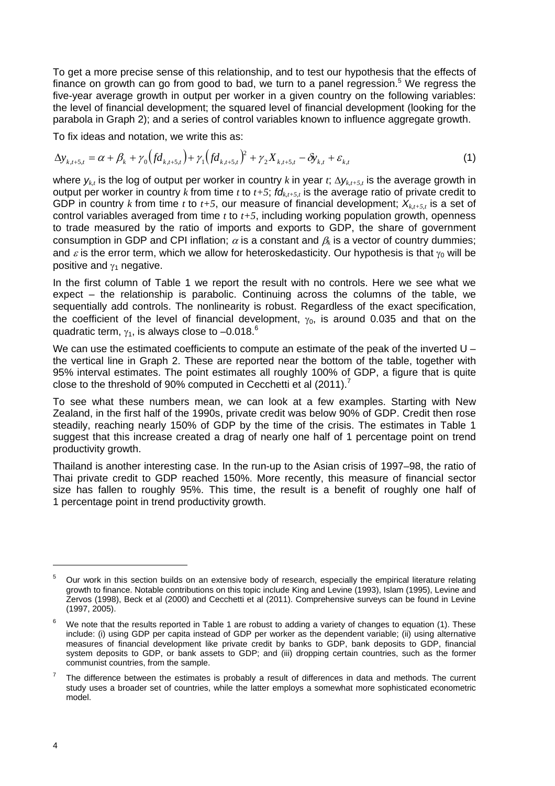To get a more precise sense of this relationship, and to test our hypothesis that the effects of finance on growth can go from good to bad, we turn to a panel regression.<sup>5</sup> We regress the five-year average growth in output per worker in a given country on the following variables: the level of financial development; the squared level of financial development (looking for the parabola in Graph 2); and a series of control variables known to influence aggregate growth.

To fix ideas and notation, we write this as:

$$
\Delta y_{k,t+5,t} = \alpha + \beta_k + \gamma_0 \left( f d_{k,t+5,t} \right) + \gamma_1 \left( f d_{k,t+5,t} \right)^2 + \gamma_2 X_{k,t+5,t} - \delta y_{k,t} + \varepsilon_{k,t}
$$
\n<sup>(1)</sup>

where  $y_{k,t}$  is the log of output per worker in country *k* in year *t*;  $\Delta y_{k,t+5,t}$  is the average growth in output per worker in country *k* from time *t* to  $t+5$ ;  $fd_{k,t+5t}$  is the average ratio of private credit to GDP in country *k* from time *t* to  $t+5$ , our measure of financial development;  $X_{k,t+5,t}$  is a set of control variables averaged from time *t* to *t+5*, including working population growth, openness to trade measured by the ratio of imports and exports to GDP, the share of government consumption in GDP and CPI inflation;  $\alpha$  is a constant and  $\beta_k$  is a vector of country dummies; and  $\varepsilon$  is the error term, which we allow for heteroskedasticity. Our hypothesis is that  $\gamma_0$  will be positive and  $y_1$  negative.

In the first column of Table 1 we report the result with no controls. Here we see what we expect – the relationship is parabolic. Continuing across the columns of the table, we sequentially add controls. The nonlinearity is robust. Regardless of the exact specification, the coefficient of the level of financial development,  $\gamma_0$ , is around 0.035 and that on the quadratic term,  $\gamma_1$ , is always close to -0.018.<sup>6</sup>

We can use the estimated coefficients to compute an estimate of the peak of the inverted U – the vertical line in Graph 2. These are reported near the bottom of the table, together with 95% interval estimates. The point estimates all roughly 100% of GDP, a figure that is quite close to the threshold of 90% computed in Cecchetti et al (2011).<sup>7</sup>

To see what these numbers mean, we can look at a few examples. Starting with New Zealand, in the first half of the 1990s, private credit was below 90% of GDP. Credit then rose steadily, reaching nearly 150% of GDP by the time of the crisis. The estimates in Table 1 suggest that this increase created a drag of nearly one half of 1 percentage point on trend productivity growth.

Thailand is another interesting case. In the run-up to the Asian crisis of 1997–98, the ratio of Thai private credit to GDP reached 150%. More recently, this measure of financial sector size has fallen to roughly 95%. This time, the result is a benefit of roughly one half of 1 percentage point in trend productivity growth.

<sup>5</sup> Our work in this section builds on an extensive body of research, especially the empirical literature relating growth to finance. Notable contributions on this topic include King and Levine (1993), Islam (1995), Levine and Zervos (1998), Beck et al (2000) and Cecchetti et al (2011). Comprehensive surveys can be found in Levine (1997, 2005).

<sup>6</sup> We note that the results reported in Table 1 are robust to adding a variety of changes to equation (1). These include: (i) using GDP per capita instead of GDP per worker as the dependent variable; (ii) using alternative measures of financial development like private credit by banks to GDP, bank deposits to GDP, financial system deposits to GDP, or bank assets to GDP; and (iii) dropping certain countries, such as the former communist countries, from the sample.

<sup>7</sup> The difference between the estimates is probably a result of differences in data and methods. The current study uses a broader set of countries, while the latter employs a somewhat more sophisticated econometric model.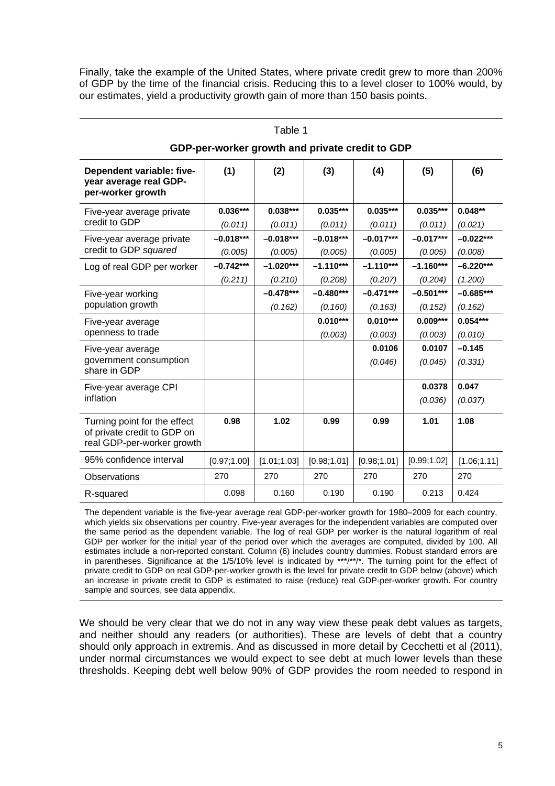Finally, take the example of the United States, where private credit grew to more than 200% of GDP by the time of the financial crisis. Reducing this to a level closer to 100% would, by our estimates, yield a productivity growth gain of more than 150 basis points.

| Dependent variable: five-<br>year average real GDP-<br>per-worker growth                  | (1)          | (2)          | (3)          | (4)          | (5)          | (6)          |
|-------------------------------------------------------------------------------------------|--------------|--------------|--------------|--------------|--------------|--------------|
| Five-year average private                                                                 | $0.036***$   | $0.038***$   | $0.035***$   | $0.035***$   | $0.035***$   | $0.048**$    |
| credit to GDP                                                                             | (0.011)      | (0.011)      | (0.011)      | (0.011)      | (0.011)      | (0.021)      |
| Five-year average private                                                                 | $-0.018***$  | $-0.018***$  | $-0.018***$  | $-0.017***$  | $-0.017***$  | $-0.022***$  |
| credit to GDP squared                                                                     | (0.005)      | (0.005)      | (0.005)      | (0.005)      | (0.005)      | (0.008)      |
| Log of real GDP per worker                                                                | $-0.742***$  | $-1.020***$  | $-1.110***$  | $-1.110***$  | $-1.160***$  | $-6.220***$  |
|                                                                                           | (0.211)      | (0.210)      | (0.208)      | (0.207)      | (0.204)      | (1.200)      |
| Five-year working                                                                         |              | $-0.478***$  | $-0.480***$  | $-0.471***$  | $-0.501***$  | $-0.685***$  |
| population growth                                                                         |              | (0.162)      | (0.160)      | (0.163)      | (0.152)      | (0.162)      |
| Five-year average                                                                         |              |              | $0.010***$   | $0.010***$   | $0.009***$   | $0.054***$   |
| openness to trade                                                                         |              |              | (0.003)      | (0.003)      | (0.003)      | (0.010)      |
| Five-year average                                                                         |              |              |              | 0.0106       | 0.0107       | $-0.145$     |
| government consumption<br>share in GDP                                                    |              |              |              | (0.046)      | (0.045)      | (0.331)      |
| Five-year average CPI                                                                     |              |              |              |              | 0.0378       | 0.047        |
| inflation                                                                                 |              |              |              |              | (0.036)      | (0.037)      |
| Turning point for the effect<br>of private credit to GDP on<br>real GDP-per-worker growth | 0.98         | 1.02         | 0.99         | 0.99         | 1.01         | 1.08         |
| 95% confidence interval                                                                   | [0.97; 1.00] | [1.01; 1.03] | [0.98; 1.01] | [0.98; 1.01] | [0.99; 1.02] | [1.06; 1.11] |
| Observations                                                                              | 270          | 270          | 270          | 270          | 270          | 270          |
| R-squared                                                                                 | 0.098        | 0.160        | 0.190        | 0.190        | 0.213        | 0.424        |

## Table 1 **GDP-per-worker growth and private credit to GDP**

The dependent variable is the five-year average real GDP-per-worker growth for 1980–2009 for each country, which yields six observations per country. Five-year averages for the independent variables are computed over the same period as the dependent variable. The log of real GDP per worker is the natural logarithm of real GDP per worker for the initial year of the period over which the averages are computed, divided by 100. All estimates include a non-reported constant. Column (6) includes country dummies. Robust standard errors are in parentheses. Significance at the 1/5/10% level is indicated by \*\*\*/\*\*/\*. The turning point for the effect of private credit to GDP on real GDP-per-worker growth is the level for private credit to GDP below (above) which an increase in private credit to GDP is estimated to raise (reduce) real GDP-per-worker growth. For country sample and sources, see data appendix.

We should be very clear that we do not in any way view these peak debt values as targets, and neither should any readers (or authorities). These are levels of debt that a country should only approach in extremis. And as discussed in more detail by Cecchetti et al (2011), under normal circumstances we would expect to see debt at much lower levels than these thresholds. Keeping debt well below 90% of GDP provides the room needed to respond in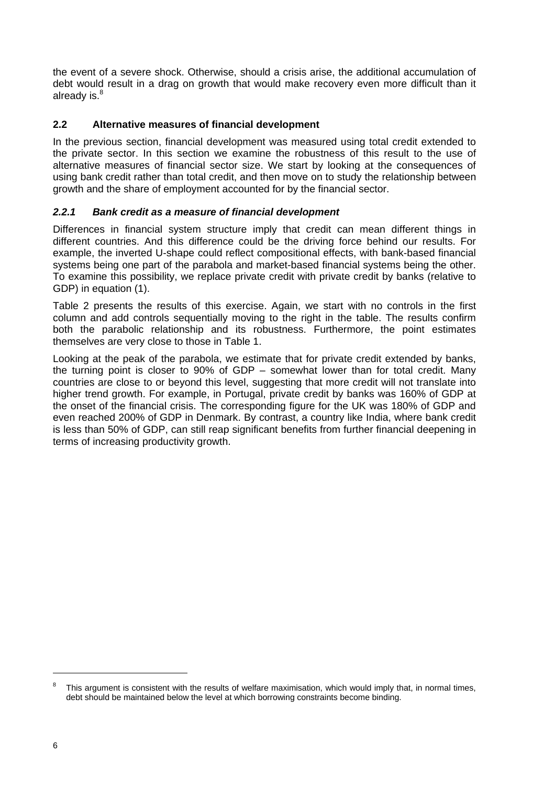the event of a severe shock. Otherwise, should a crisis arise, the additional accumulation of debt would result in a drag on growth that would make recovery even more difficult than it already is. $8$ 

#### **2.2 Alternative measures of financial development**

In the previous section, financial development was measured using total credit extended to the private sector. In this section we examine the robustness of this result to the use of alternative measures of financial sector size. We start by looking at the consequences of using bank credit rather than total credit, and then move on to study the relationship between growth and the share of employment accounted for by the financial sector.

#### *2.2.1 Bank credit as a measure of financial development*

Differences in financial system structure imply that credit can mean different things in different countries. And this difference could be the driving force behind our results. For example, the inverted U-shape could reflect compositional effects, with bank-based financial systems being one part of the parabola and market-based financial systems being the other. To examine this possibility, we replace private credit with private credit by banks (relative to GDP) in equation (1).

Table 2 presents the results of this exercise. Again, we start with no controls in the first column and add controls sequentially moving to the right in the table. The results confirm both the parabolic relationship and its robustness. Furthermore, the point estimates themselves are very close to those in Table 1.

Looking at the peak of the parabola, we estimate that for private credit extended by banks, the turning point is closer to 90% of GDP – somewhat lower than for total credit. Many countries are close to or beyond this level, suggesting that more credit will not translate into higher trend growth. For example, in Portugal, private credit by banks was 160% of GDP at the onset of the financial crisis. The corresponding figure for the UK was 180% of GDP and even reached 200% of GDP in Denmark. By contrast, a country like India, where bank credit is less than 50% of GDP, can still reap significant benefits from further financial deepening in terms of increasing productivity growth.

<sup>8</sup> This argument is consistent with the results of welfare maximisation, which would imply that, in normal times, debt should be maintained below the level at which borrowing constraints become binding.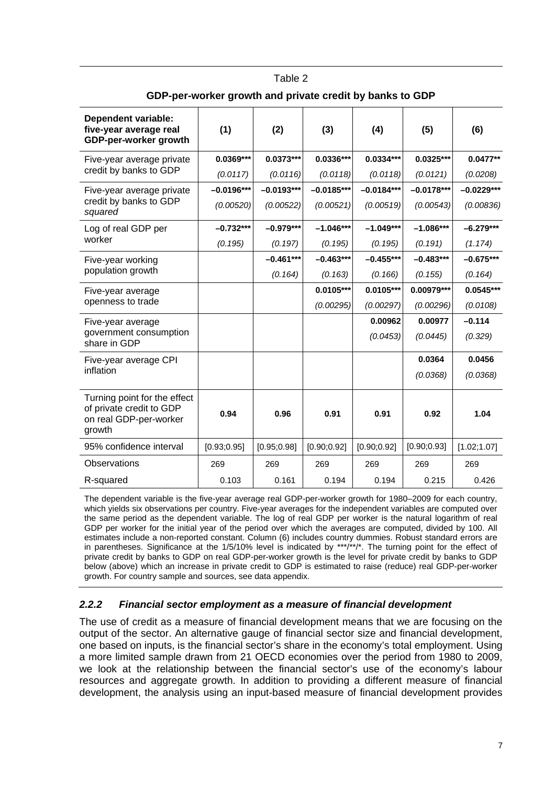| <b>Dependent variable:</b><br>five-year average real<br>GDP-per-worker growth                | (1)          | (2)          | (3)          | (4)          | (5)          | (6)          |
|----------------------------------------------------------------------------------------------|--------------|--------------|--------------|--------------|--------------|--------------|
| Five-year average private<br>credit by banks to GDP                                          | $0.0369***$  | $0.0373***$  | $0.0336***$  | $0.0334***$  | $0.0325***$  | $0.0477**$   |
|                                                                                              | (0.0117)     | (0.0116)     | (0.0118)     | (0.0118)     | (0.0121)     | (0.0208)     |
| Five-year average private                                                                    | $-0.0196***$ | $-0.0193***$ | $-0.0185***$ | $-0.0184***$ | $-0.0178***$ | $-0.0229***$ |
| credit by banks to GDP<br>squared                                                            | (0.00520)    | (0.00522)    | (0.00521)    | (0.00519)    | (0.00543)    | (0.00836)    |
| Log of real GDP per                                                                          | $-0.732***$  | $-0.979***$  | $-1.046***$  | $-1.049***$  | $-1.086***$  | $-6.279***$  |
| worker                                                                                       | (0.195)      | (0.197)      | (0.195)      | (0.195)      | (0.191)      | (1.174)      |
| Five-year working                                                                            |              | $-0.461***$  | $-0.463***$  | $-0.455***$  | $-0.483***$  | $-0.675***$  |
| population growth                                                                            |              | (0.164)      | (0.163)      | (0.166)      | (0.155)      | (0.164)      |
| Five-year average                                                                            |              |              | $0.0105***$  | $0.0105***$  | 0.00979***   | $0.0545***$  |
| openness to trade                                                                            |              |              | (0.00295)    | (0.00297)    | (0.00296)    | (0.0108)     |
| Five-year average                                                                            |              |              |              | 0.00962      | 0.00977      | $-0.114$     |
| government consumption<br>share in GDP                                                       |              |              |              | (0.0453)     | (0.0445)     | (0.329)      |
| Five-year average CPI<br>inflation                                                           |              |              |              |              | 0.0364       | 0.0456       |
|                                                                                              |              |              |              |              | (0.0368)     | (0.0368)     |
| Turning point for the effect<br>of private credit to GDP<br>on real GDP-per-worker<br>growth | 0.94         | 0.96         | 0.91         | 0.91         | 0.92         | 1.04         |
| 95% confidence interval                                                                      | [0.93; 0.95] | [0.95; 0.98] | [0.90; 0.92] | [0.90; 0.92] | [0.90; 0.93] | [1.02;1.07]  |
| Observations                                                                                 | 269          | 269          | 269          | 269          | 269          | 269          |
| R-squared                                                                                    | 0.103        | 0.161        | 0.194        | 0.194        | 0.215        | 0.426        |

| Table 2 |                                                          |
|---------|----------------------------------------------------------|
|         | GDP-per-worker growth and private credit by banks to GDP |

The dependent variable is the five-year average real GDP-per-worker growth for 1980–2009 for each country, which yields six observations per country. Five-year averages for the independent variables are computed over the same period as the dependent variable. The log of real GDP per worker is the natural logarithm of real GDP per worker for the initial year of the period over which the averages are computed, divided by 100. All estimates include a non-reported constant. Column (6) includes country dummies. Robust standard errors are in parentheses. Significance at the 1/5/10% level is indicated by \*\*\*/\*\*/\*. The turning point for the effect of private credit by banks to GDP on real GDP-per-worker growth is the level for private credit by banks to GDP below (above) which an increase in private credit to GDP is estimated to raise (reduce) real GDP-per-worker growth. For country sample and sources, see data appendix.

#### *2.2.2 Financial sector employment as a measure of financial development*

The use of credit as a measure of financial development means that we are focusing on the output of the sector. An alternative gauge of financial sector size and financial development, one based on inputs, is the financial sector's share in the economy's total employment. Using a more limited sample drawn from 21 OECD economies over the period from 1980 to 2009, we look at the relationship between the financial sector's use of the economy's labour resources and aggregate growth. In addition to providing a different measure of financial development, the analysis using an input-based measure of financial development provides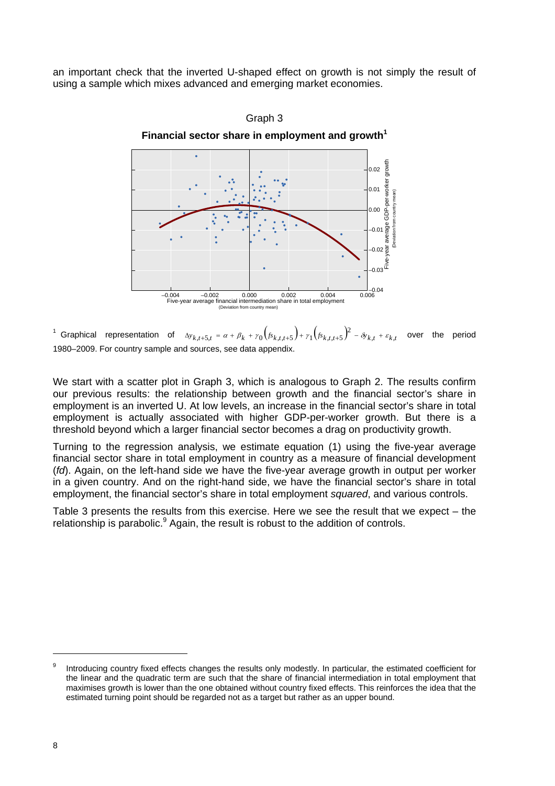an important check that the inverted U-shaped effect on growth is not simply the result of using a sample which mixes advanced and emerging market economies.



<sup>1</sup> Graphical representation of  $\Delta y_{k,t+5,t} = \alpha + \beta_k + \gamma_0 \left( f_{s_{k,t,t+5}} \right) + \gamma_1 \left( f_{s_{k,t,t+5}} \right)^2 - \delta y_{k,t} + \varepsilon_{k,t}$  over the period 1980–2009. For country sample and sources, see data appendix.

We start with a scatter plot in Graph 3, which is analogous to Graph 2. The results confirm our previous results: the relationship between growth and the financial sector's share in employment is an inverted U. At low levels, an increase in the financial sector's share in total employment is actually associated with higher GDP-per-worker growth. But there is a threshold beyond which a larger financial sector becomes a drag on productivity growth.

Turning to the regression analysis, we estimate equation (1) using the five-year average financial sector share in total employment in country as a measure of financial development (*fd*). Again, on the left-hand side we have the five-year average growth in output per worker in a given country. And on the right-hand side, we have the financial sector's share in total employment, the financial sector's share in total employment *squared*, and various controls.

Table 3 presents the results from this exercise. Here we see the result that we expect – the relationship is parabolic.<sup>9</sup> Again, the result is robust to the addition of controls.

<sup>9</sup> Introducing country fixed effects changes the results only modestly. In particular, the estimated coefficient for the linear and the quadratic term are such that the share of financial intermediation in total employment that maximises growth is lower than the one obtained without country fixed effects. This reinforces the idea that the estimated turning point should be regarded not as a target but rather as an upper bound.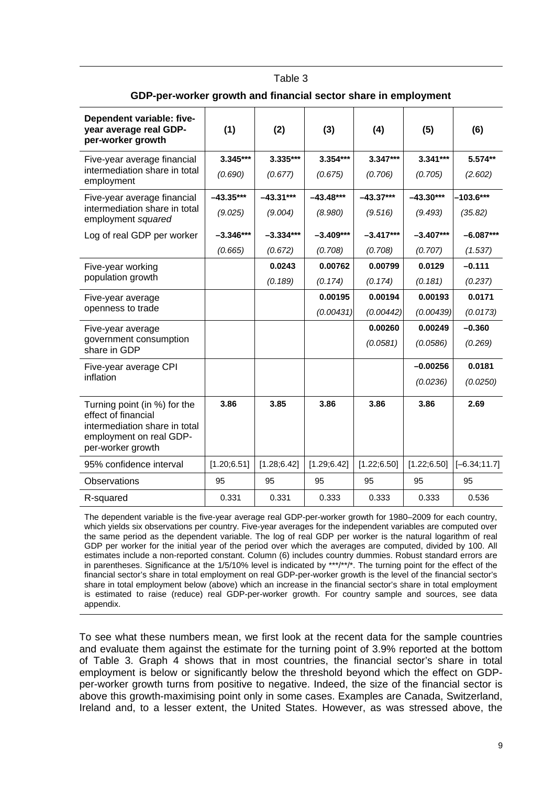| ODF-per-worker growth and miancial sector share in employment                                                                        |              |              |              |              |              |                 |
|--------------------------------------------------------------------------------------------------------------------------------------|--------------|--------------|--------------|--------------|--------------|-----------------|
| Dependent variable: five-<br>year average real GDP-<br>per-worker growth                                                             | (1)          | (2)          | (3)          | (4)          | (5)          | (6)             |
| Five-year average financial                                                                                                          | 3.345***     | 3.335***     | 3.354***     | $3.347***$   | $3.341***$   | $5.574**$       |
| intermediation share in total<br>employment                                                                                          | (0.690)      | (0.677)      | (0.675)      | (0.706)      | (0.705)      | (2.602)         |
| Five-year average financial                                                                                                          | $-43.35***$  | $-43.31***$  | $-43.48***$  | $-43.37***$  | $-43.30***$  | $-103.6***$     |
| intermediation share in total<br>employment squared                                                                                  | (9.025)      | (9.004)      | (8.980)      | (9.516)      | (9.493)      | (35.82)         |
| Log of real GDP per worker                                                                                                           | $-3.346***$  | $-3.334***$  | $-3.409***$  | $-3.417***$  | $-3.407***$  | $-6.087***$     |
|                                                                                                                                      | (0.665)      | (0.672)      | (0.708)      | (0.708)      | (0.707)      | (1.537)         |
| Five-year working                                                                                                                    |              | 0.0243       | 0.00762      | 0.00799      | 0.0129       | $-0.111$        |
| population growth                                                                                                                    |              | (0.189)      | (0.174)      | (0.174)      | (0.181)      | (0.237)         |
| Five-year average                                                                                                                    |              |              | 0.00195      | 0.00194      | 0.00193      | 0.0171          |
| openness to trade                                                                                                                    |              |              | (0.00431)    | (0.00442)    | (0.00439)    | (0.0173)        |
| Five-year average                                                                                                                    |              |              |              | 0.00260      | 0.00249      | $-0.360$        |
| government consumption<br>share in GDP                                                                                               |              |              |              | (0.0581)     | (0.0586)     | (0.269)         |
| Five-year average CPI                                                                                                                |              |              |              |              | $-0.00256$   | 0.0181          |
| inflation                                                                                                                            |              |              |              |              | (0.0236)     | (0.0250)        |
| Turning point (in %) for the<br>effect of financial<br>intermediation share in total<br>employment on real GDP-<br>per-worker growth | 3.86         | 3.85         | 3.86         | 3.86         | 3.86         | 2.69            |
| 95% confidence interval                                                                                                              | [1.20; 6.51] | [1.28; 6.42] | [1.29; 6.42] | [1.22; 6.50] | [1.22; 6.50] | $[-6.34; 11.7]$ |
| Observations                                                                                                                         | 95           | 95           | 95           | 95           | 95           | 95              |
| R-squared                                                                                                                            | 0.331        | 0.331        | 0.333        | 0.333        | 0.333        | 0.536           |

#### Table 3 **GDP-per-worker growth and financial sector share in employment**

The dependent variable is the five-year average real GDP-per-worker growth for 1980–2009 for each country, which yields six observations per country. Five-year averages for the independent variables are computed over the same period as the dependent variable. The log of real GDP per worker is the natural logarithm of real GDP per worker for the initial year of the period over which the averages are computed, divided by 100. All estimates include a non-reported constant. Column (6) includes country dummies. Robust standard errors are in parentheses. Significance at the 1/5/10% level is indicated by \*\*\*/\*\*/\*. The turning point for the effect of the financial sector's share in total employment on real GDP-per-worker growth is the level of the financial sector's share in total employment below (above) which an increase in the financial sector's share in total employment is estimated to raise (reduce) real GDP-per-worker growth. For country sample and sources, see data appendix.

To see what these numbers mean, we first look at the recent data for the sample countries and evaluate them against the estimate for the turning point of 3.9% reported at the bottom of Table 3. Graph 4 shows that in most countries, the financial sector's share in total employment is below or significantly below the threshold beyond which the effect on GDPper-worker growth turns from positive to negative. Indeed, the size of the financial sector is above this growth-maximising point only in some cases. Examples are Canada, Switzerland, Ireland and, to a lesser extent, the United States. However, as was stressed above, the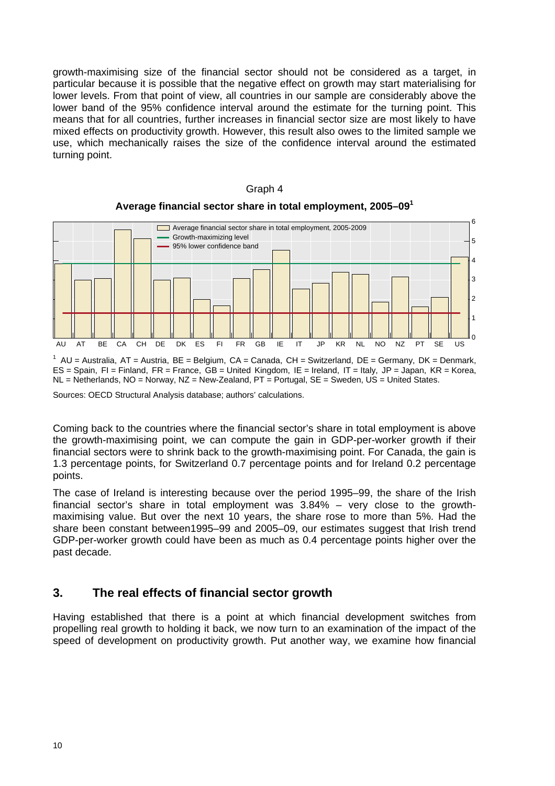growth-maximising size of the financial sector should not be considered as a target, in particular because it is possible that the negative effect on growth may start materialising for lower levels. From that point of view, all countries in our sample are considerably above the lower band of the 95% confidence interval around the estimate for the turning point. This means that for all countries, further increases in financial sector size are most likely to have mixed effects on productivity growth. However, this result also owes to the limited sample we use, which mechanically raises the size of the confidence interval around the estimated turning point.



#### Graph 4 **Average financial sector share in total employment, 2005–09<sup>1</sup>**

 $1$  AU = Australia, AT = Austria, BE = Belgium, CA = Canada, CH = Switzerland, DE = Germany, DK = Denmark, ES = Spain, FI = Finland, FR = France, GB = United Kingdom, IE = Ireland, IT = Italy, JP = Japan, KR = Korea,  $NL = Netherlands, NO = Norway, NZ = New-Zealand, PT = Portugal, SE = Sweden, US = United States.$ 

Sources: OECD Structural Analysis database; authors' calculations.

Coming back to the countries where the financial sector's share in total employment is above the growth-maximising point, we can compute the gain in GDP-per-worker growth if their financial sectors were to shrink back to the growth-maximising point. For Canada, the gain is 1.3 percentage points, for Switzerland 0.7 percentage points and for Ireland 0.2 percentage points.

The case of Ireland is interesting because over the period 1995–99, the share of the Irish financial sector's share in total employment was 3.84% – very close to the growthmaximising value. But over the next 10 years, the share rose to more than 5%. Had the share been constant between1995–99 and 2005–09, our estimates suggest that Irish trend GDP-per-worker growth could have been as much as 0.4 percentage points higher over the past decade.

### **3. The real effects of financial sector growth**

Having established that there is a point at which financial development switches from propelling real growth to holding it back, we now turn to an examination of the impact of the speed of development on productivity growth. Put another way, we examine how financial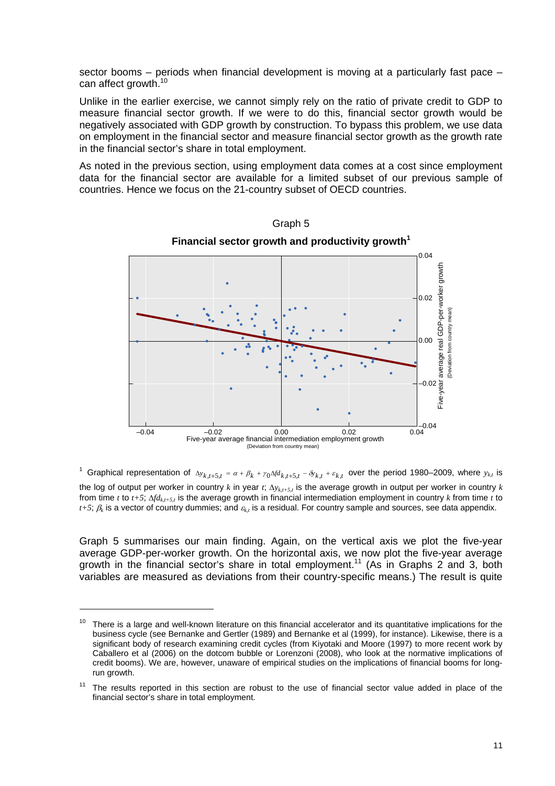sector booms – periods when financial development is moving at a particularly fast pace – can affect growth.<sup>10</sup>

Unlike in the earlier exercise, we cannot simply rely on the ratio of private credit to GDP to measure financial sector growth. If we were to do this, financial sector growth would be negatively associated with GDP growth by construction. To bypass this problem, we use data on employment in the financial sector and measure financial sector growth as the growth rate in the financial sector's share in total employment.

As noted in the previous section, using employment data comes at a cost since employment data for the financial sector are available for a limited subset of our previous sample of countries. Hence we focus on the 21-country subset of OECD countries.



Graph 5

<sup>1</sup> Graphical representation of  $\Delta y_{k,t+5,t} = \alpha + \beta_k + \gamma_0 \Delta f d_{k,t+5,t} - \delta y_{k,t} + \varepsilon_{k,t}$  over the period 1980–2009, where  $y_{k,t}$  is the log of output per worker in country k in year  $t$ ;  $\Delta y$ <sub>k+5</sub>, is the average growth in output per worker in country k from time *t* to  $t+5$ ;  $\Delta f d_{k,t+5}$ , is the average growth in financial intermediation employment in country *k* from time *t* to  $t+5$ ;  $\beta_k$  is a vector of country dummies; and  $\varepsilon_k$ , is a residual. For country sample and sources, see data appendix.

Graph 5 summarises our main finding. Again, on the vertical axis we plot the five-year average GDP-per-worker growth. On the horizontal axis, we now plot the five-year average growth in the financial sector's share in total employment.<sup>11</sup> (As in Graphs 2 and 3, both variables are measured as deviations from their country-specific means.) The result is quite

 $\overline{a}$ 

There is a large and well-known literature on this financial accelerator and its quantitative implications for the business cycle (see Bernanke and Gertler (1989) and Bernanke et al (1999), for instance). Likewise, there is a significant body of research examining credit cycles (from Kiyotaki and Moore (1997) to more recent work by Caballero et al (2006) on the dotcom bubble or Lorenzoni (2008), who look at the normative implications of credit booms). We are, however, unaware of empirical studies on the implications of financial booms for longrun arowth.

 $11$  The results reported in this section are robust to the use of financial sector value added in place of the financial sector's share in total employment.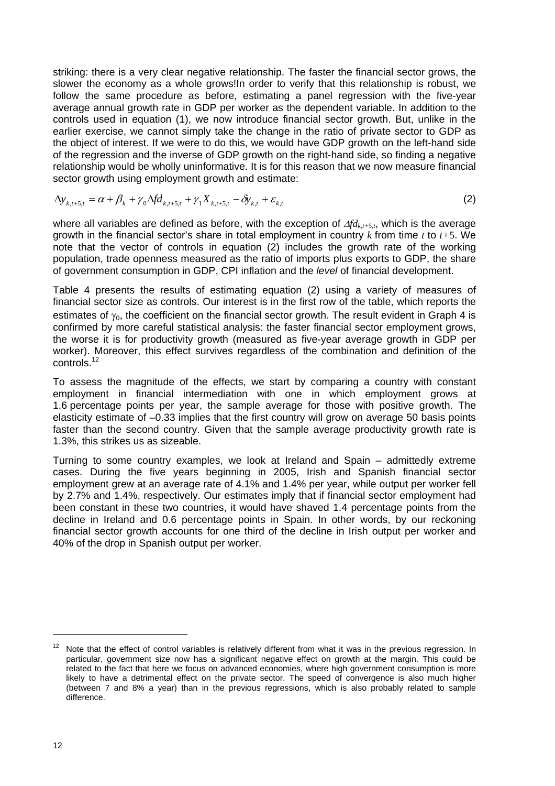striking: there is a very clear negative relationship. The faster the financial sector grows, the slower the economy as a whole grows!In order to verify that this relationship is robust, we follow the same procedure as before, estimating a panel regression with the five-year average annual growth rate in GDP per worker as the dependent variable. In addition to the controls used in equation (1), we now introduce financial sector growth. But, unlike in the earlier exercise, we cannot simply take the change in the ratio of private sector to GDP as the object of interest. If we were to do this, we would have GDP growth on the left-hand side of the regression and the inverse of GDP growth on the right-hand side, so finding a negative relationship would be wholly uninformative. It is for this reason that we now measure financial sector growth using employment growth and estimate:

$$
\Delta y_{k,t+5,t} = \alpha + \beta_k + \gamma_0 \Delta f d_{k,t+5,t} + \gamma_1 X_{k,t+5,t} - \delta y_{k,t} + \varepsilon_{k,t}
$$
\n(2)

where all variables are defined as before, with the exception of  $\Delta f d_{k,t+5,t}$ , which is the average growth in the financial sector's share in total employment in country *k* from time *t* to *t+*5. We note that the vector of controls in equation (2) includes the growth rate of the working population, trade openness measured as the ratio of imports plus exports to GDP, the share of government consumption in GDP, CPI inflation and the *level* of financial development.

Table 4 presents the results of estimating equation (2) using a variety of measures of financial sector size as controls. Our interest is in the first row of the table, which reports the estimates of  $\gamma_0$ , the coefficient on the financial sector growth. The result evident in Graph 4 is confirmed by more careful statistical analysis: the faster financial sector employment grows, the worse it is for productivity growth (measured as five-year average growth in GDP per worker). Moreover, this effect survives regardless of the combination and definition of the controls.12

To assess the magnitude of the effects, we start by comparing a country with constant employment in financial intermediation with one in which employment grows at 1.6 percentage points per year, the sample average for those with positive growth. The elasticity estimate of –0.33 implies that the first country will grow on average 50 basis points faster than the second country. Given that the sample average productivity growth rate is 1.3%, this strikes us as sizeable.

Turning to some country examples, we look at Ireland and Spain – admittedly extreme cases. During the five years beginning in 2005, Irish and Spanish financial sector employment grew at an average rate of 4.1% and 1.4% per year, while output per worker fell by 2.7% and 1.4%, respectively. Our estimates imply that if financial sector employment had been constant in these two countries, it would have shaved 1.4 percentage points from the decline in Ireland and 0.6 percentage points in Spain. In other words, by our reckoning financial sector growth accounts for one third of the decline in Irish output per worker and 40% of the drop in Spanish output per worker.

Note that the effect of control variables is relatively different from what it was in the previous regression. In particular, government size now has a significant negative effect on growth at the margin. This could be related to the fact that here we focus on advanced economies, where high government consumption is more likely to have a detrimental effect on the private sector. The speed of convergence is also much higher (between 7 and 8% a year) than in the previous regressions, which is also probably related to sample difference.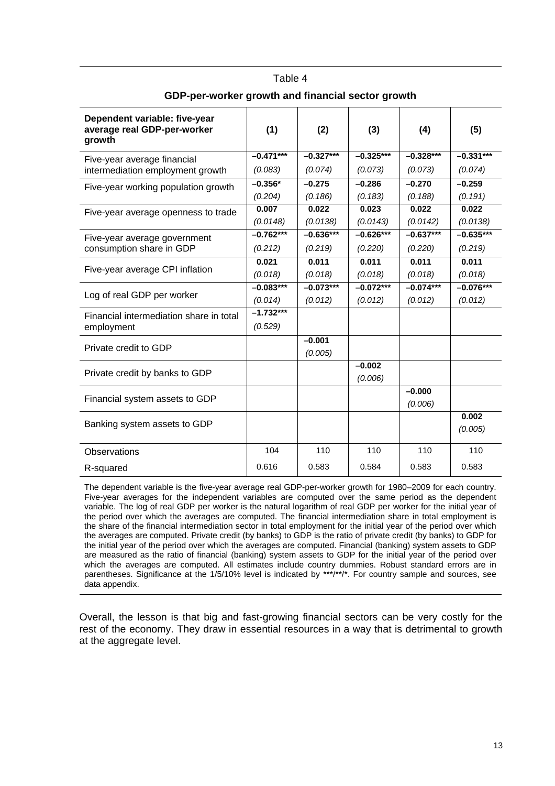| Dependent variable: five-year<br>average real GDP-per-worker<br>growth | (1)         | (2)         | (3)         | (4)         | (5)         |
|------------------------------------------------------------------------|-------------|-------------|-------------|-------------|-------------|
| Five-year average financial                                            | $-0.471***$ | $-0.327***$ | $-0.325***$ | $-0.328***$ | $-0.331***$ |
| intermediation employment growth                                       | (0.083)     | (0.074)     | (0.073)     | (0.073)     | (0.074)     |
| Five-year working population growth                                    | $-0.356*$   | $-0.275$    | $-0.286$    | $-0.270$    | $-0.259$    |
|                                                                        | (0.204)     | (0.186)     | (0.183)     | (0.188)     | (0.191)     |
| Five-year average openness to trade                                    | 0.007       | 0.022       | 0.023       | 0.022       | 0.022       |
|                                                                        | (0.0148)    | (0.0138)    | (0.0143)    | (0.0142)    | (0.0138)    |
| Five-year average government                                           | $-0.762***$ | $-0.636***$ | $-0.626***$ | $-0.637***$ | $-0.635***$ |
| consumption share in GDP                                               | (0.212)     | (0.219)     | (0.220)     | (0.220)     | (0.219)     |
|                                                                        | 0.021       | 0.011       | 0.011       | 0.011       | 0.011       |
| Five-year average CPI inflation                                        | (0.018)     | (0.018)     | (0.018)     | (0.018)     | (0.018)     |
|                                                                        | $-0.083***$ | $-0.073***$ | $-0.072***$ | $-0.074***$ | $-0.076***$ |
| Log of real GDP per worker                                             | (0.014)     | (0.012)     | (0.012)     | (0.012)     | (0.012)     |
| Financial intermediation share in total                                | $-1.732***$ |             |             |             |             |
| employment                                                             | (0.529)     |             |             |             |             |
|                                                                        |             | $-0.001$    |             |             |             |
| Private credit to GDP                                                  |             | (0.005)     |             |             |             |
| Private credit by banks to GDP                                         |             |             | $-0.002$    |             |             |
|                                                                        |             |             | (0.006)     |             |             |
| Financial system assets to GDP                                         |             |             |             | $-0.000$    |             |
|                                                                        |             |             |             | (0.006)     |             |
| Banking system assets to GDP                                           |             |             |             |             | 0.002       |
|                                                                        |             |             |             |             | (0.005)     |
| Observations                                                           | 104         | 110         | 110         | 110         | 110         |
| R-squared                                                              | 0.616       | 0.583       | 0.584       | 0.583       | 0.583       |

## Table 4 **GDP-per-worker growth and financial sector growth**

The dependent variable is the five-year average real GDP-per-worker growth for 1980–2009 for each country. Five-year averages for the independent variables are computed over the same period as the dependent variable. The log of real GDP per worker is the natural logarithm of real GDP per worker for the initial year of the period over which the averages are computed. The financial intermediation share in total employment is the share of the financial intermediation sector in total employment for the initial year of the period over which the averages are computed. Private credit (by banks) to GDP is the ratio of private credit (by banks) to GDP for the initial year of the period over which the averages are computed. Financial (banking) system assets to GDP are measured as the ratio of financial (banking) system assets to GDP for the initial year of the period over which the averages are computed. All estimates include country dummies. Robust standard errors are in parentheses. Significance at the 1/5/10% level is indicated by \*\*\*/\*\*/\*. For country sample and sources, see data appendix.

Overall, the lesson is that big and fast-growing financial sectors can be very costly for the rest of the economy. They draw in essential resources in a way that is detrimental to growth at the aggregate level.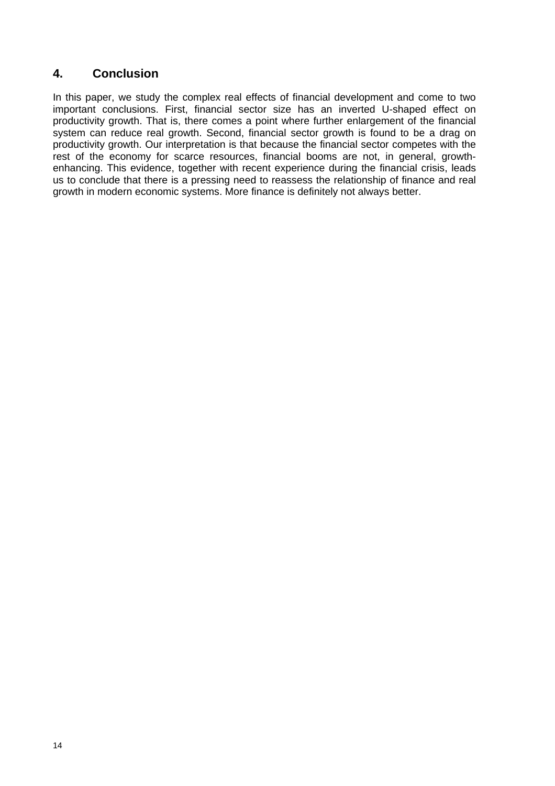## **4. Conclusion**

In this paper, we study the complex real effects of financial development and come to two important conclusions. First, financial sector size has an inverted U-shaped effect on productivity growth. That is, there comes a point where further enlargement of the financial system can reduce real growth. Second, financial sector growth is found to be a drag on productivity growth. Our interpretation is that because the financial sector competes with the rest of the economy for scarce resources, financial booms are not, in general, growthenhancing. This evidence, together with recent experience during the financial crisis, leads us to conclude that there is a pressing need to reassess the relationship of finance and real growth in modern economic systems. More finance is definitely not always better.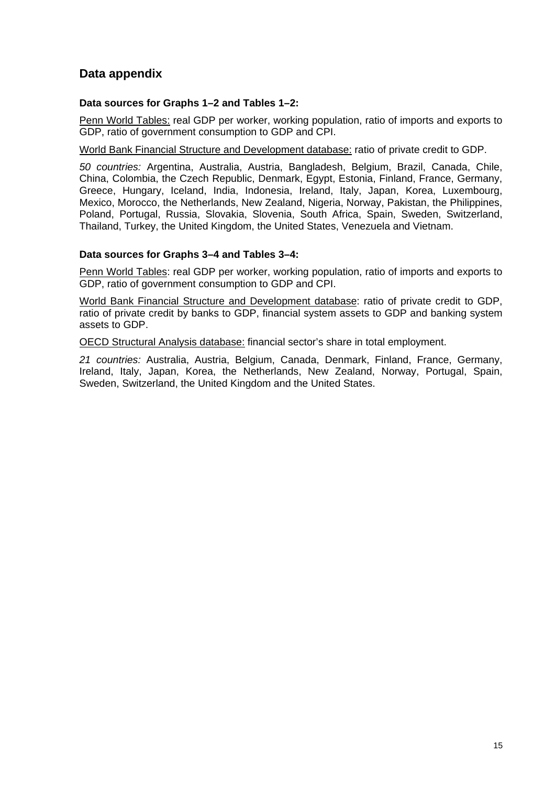## **Data appendix**

#### **Data sources for Graphs 1–2 and Tables 1–2:**

Penn World Tables: real GDP per worker, working population, ratio of imports and exports to GDP, ratio of government consumption to GDP and CPI.

World Bank Financial Structure and Development database: ratio of private credit to GDP.

*50 countries:* Argentina, Australia, Austria, Bangladesh, Belgium, Brazil, Canada, Chile, China, Colombia, the Czech Republic, Denmark, Egypt, Estonia, Finland, France, Germany, Greece, Hungary, Iceland, India, Indonesia, Ireland, Italy, Japan, Korea, Luxembourg, Mexico, Morocco, the Netherlands, New Zealand, Nigeria, Norway, Pakistan, the Philippines, Poland, Portugal, Russia, Slovakia, Slovenia, South Africa, Spain, Sweden, Switzerland, Thailand, Turkey, the United Kingdom, the United States, Venezuela and Vietnam.

#### **Data sources for Graphs 3–4 and Tables 3–4:**

Penn World Tables: real GDP per worker, working population, ratio of imports and exports to GDP, ratio of government consumption to GDP and CPI.

World Bank Financial Structure and Development database: ratio of private credit to GDP, ratio of private credit by banks to GDP, financial system assets to GDP and banking system assets to GDP.

OECD Structural Analysis database: financial sector's share in total employment.

*21 countries:* Australia, Austria, Belgium, Canada, Denmark, Finland, France, Germany, Ireland, Italy, Japan, Korea, the Netherlands, New Zealand, Norway, Portugal, Spain, Sweden, Switzerland, the United Kingdom and the United States.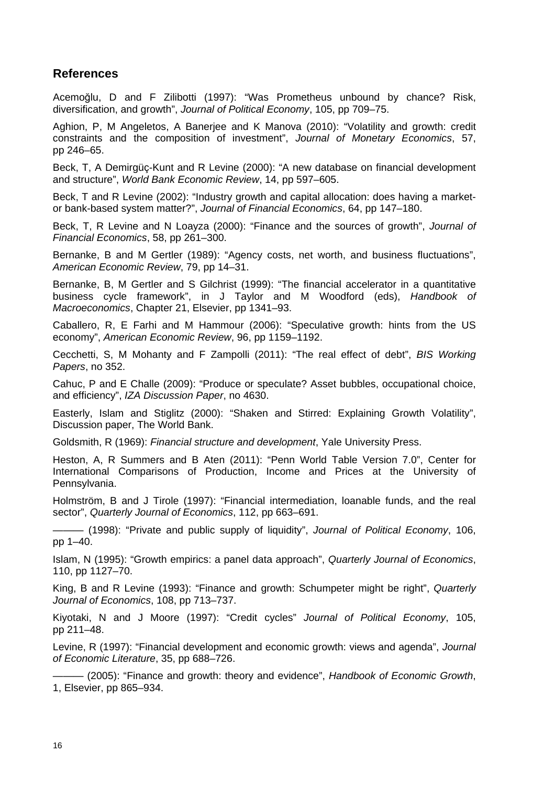## **References**

Acemoğlu, D and F Zilibotti (1997): "Was Prometheus unbound by chance? Risk, diversification, and growth", *Journal of Political Economy*, 105, pp 709–75.

Aghion, P, M Angeletos, A Banerjee and K Manova (2010): "Volatility and growth: credit constraints and the composition of investment", *Journal of Monetary Economics*, 57, pp 246–65.

Beck, T, A Demirgüç-Kunt and R Levine (2000): "A new database on financial development and structure", *World Bank Economic Review*, 14, pp 597–605.

Beck, T and R Levine (2002): "Industry growth and capital allocation: does having a marketor bank-based system matter?", *Journal of Financial Economics*, 64, pp 147–180.

Beck, T, R Levine and N Loayza (2000): "Finance and the sources of growth", *Journal of Financial Economics*, 58, pp 261–300.

Bernanke, B and M Gertler (1989): "Agency costs, net worth, and business fluctuations", *American Economic Review*, 79, pp 14–31.

Bernanke, B, M Gertler and S Gilchrist (1999): "The financial accelerator in a quantitative business cycle framework", in J Taylor and M Woodford (eds), *Handbook of Macroeconomics*, Chapter 21, Elsevier, pp 1341–93.

Caballero, R, E Farhi and M Hammour (2006): "Speculative growth: hints from the US economy", *American Economic Review*, 96, pp 1159–1192.

Cecchetti, S, M Mohanty and F Zampolli (2011): "The real effect of debt", *BIS Working Papers*, no 352.

Cahuc, P and E Challe (2009): "Produce or speculate? Asset bubbles, occupational choice, and efficiency", *IZA Discussion Paper*, no 4630.

Easterly, Islam and Stiglitz (2000): "Shaken and Stirred: Explaining Growth Volatility", Discussion paper, The World Bank.

Goldsmith, R (1969): *Financial structure and development*, Yale University Press.

Heston, A, R Summers and B Aten (2011): "Penn World Table Version 7.0", Center for International Comparisons of Production, Income and Prices at the University of Pennsylvania.

Holmström, B and J Tirole (1997): "Financial intermediation, loanable funds, and the real sector", *Quarterly Journal of Economics*, 112, pp 663–691.

——— (1998): "Private and public supply of liquidity", *Journal of Political Economy*, 106, pp 1–40.

Islam, N (1995): "Growth empirics: a panel data approach", *Quarterly Journal of Economics*, 110, pp 1127–70.

King, B and R Levine (1993): "Finance and growth: Schumpeter might be right", *Quarterly Journal of Economics*, 108, pp 713–737.

Kiyotaki, N and J Moore (1997): "Credit cycles" *Journal of Political Economy*, 105, pp 211–48.

Levine, R (1997): "Financial development and economic growth: views and agenda", *Journal of Economic Literature*, 35, pp 688–726.

——— (2005): "Finance and growth: theory and evidence", *Handbook of Economic Growth*, 1, Elsevier, pp 865–934.